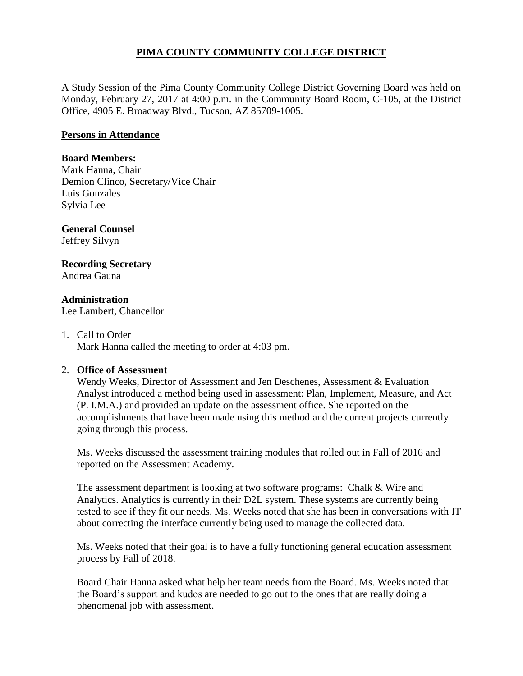# **PIMA COUNTY COMMUNITY COLLEGE DISTRICT**

A Study Session of the Pima County Community College District Governing Board was held on Monday, February 27, 2017 at 4:00 p.m. in the Community Board Room, C-105, at the District Office, 4905 E. Broadway Blvd., Tucson, AZ 85709-1005.

## **Persons in Attendance**

### **Board Members:**

Mark Hanna, Chair Demion Clinco, Secretary/Vice Chair Luis Gonzales Sylvia Lee

#### **General Counsel**  Jeffrey Silvyn

**Recording Secretary**

Andrea Gauna

## **Administration**

Lee Lambert, Chancellor

#### 1. Call to Order

Mark Hanna called the meeting to order at 4:03 pm.

## 2. **Office of Assessment**

Wendy Weeks, Director of Assessment and Jen Deschenes, Assessment & Evaluation Analyst introduced a method being used in assessment: Plan, Implement, Measure, and Act (P. I.M.A.) and provided an update on the assessment office. She reported on the accomplishments that have been made using this method and the current projects currently going through this process.

Ms. Weeks discussed the assessment training modules that rolled out in Fall of 2016 and reported on the Assessment Academy.

The assessment department is looking at two software programs: Chalk & Wire and Analytics. Analytics is currently in their D2L system. These systems are currently being tested to see if they fit our needs. Ms. Weeks noted that she has been in conversations with IT about correcting the interface currently being used to manage the collected data.

Ms. Weeks noted that their goal is to have a fully functioning general education assessment process by Fall of 2018.

Board Chair Hanna asked what help her team needs from the Board. Ms. Weeks noted that the Board's support and kudos are needed to go out to the ones that are really doing a phenomenal job with assessment.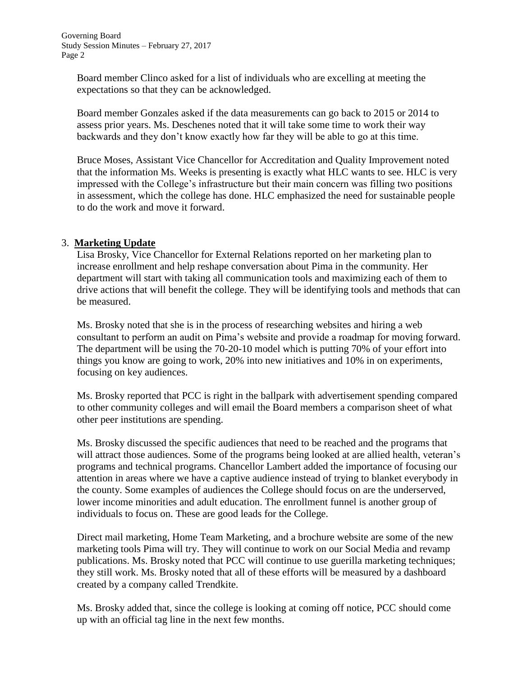Board member Clinco asked for a list of individuals who are excelling at meeting the expectations so that they can be acknowledged.

Board member Gonzales asked if the data measurements can go back to 2015 or 2014 to assess prior years. Ms. Deschenes noted that it will take some time to work their way backwards and they don't know exactly how far they will be able to go at this time.

Bruce Moses, Assistant Vice Chancellor for Accreditation and Quality Improvement noted that the information Ms. Weeks is presenting is exactly what HLC wants to see. HLC is very impressed with the College's infrastructure but their main concern was filling two positions in assessment, which the college has done. HLC emphasized the need for sustainable people to do the work and move it forward.

## 3. **Marketing Update**

Lisa Brosky, Vice Chancellor for External Relations reported on her marketing plan to increase enrollment and help reshape conversation about Pima in the community. Her department will start with taking all communication tools and maximizing each of them to drive actions that will benefit the college. They will be identifying tools and methods that can be measured.

Ms. Brosky noted that she is in the process of researching websites and hiring a web consultant to perform an audit on Pima's website and provide a roadmap for moving forward. The department will be using the 70-20-10 model which is putting 70% of your effort into things you know are going to work, 20% into new initiatives and 10% in on experiments, focusing on key audiences.

Ms. Brosky reported that PCC is right in the ballpark with advertisement spending compared to other community colleges and will email the Board members a comparison sheet of what other peer institutions are spending.

Ms. Brosky discussed the specific audiences that need to be reached and the programs that will attract those audiences. Some of the programs being looked at are allied health, veteran's programs and technical programs. Chancellor Lambert added the importance of focusing our attention in areas where we have a captive audience instead of trying to blanket everybody in the county. Some examples of audiences the College should focus on are the underserved, lower income minorities and adult education. The enrollment funnel is another group of individuals to focus on. These are good leads for the College.

Direct mail marketing, Home Team Marketing, and a brochure website are some of the new marketing tools Pima will try. They will continue to work on our Social Media and revamp publications. Ms. Brosky noted that PCC will continue to use guerilla marketing techniques; they still work. Ms. Brosky noted that all of these efforts will be measured by a dashboard created by a company called Trendkite.

Ms. Brosky added that, since the college is looking at coming off notice, PCC should come up with an official tag line in the next few months.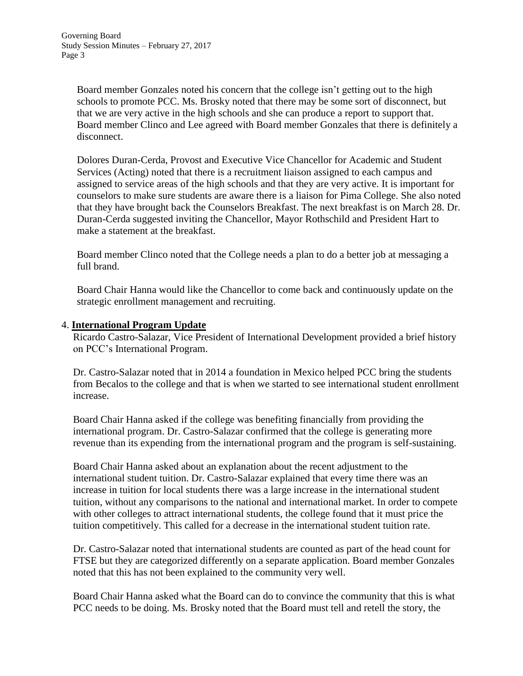Board member Gonzales noted his concern that the college isn't getting out to the high schools to promote PCC. Ms. Brosky noted that there may be some sort of disconnect, but that we are very active in the high schools and she can produce a report to support that. Board member Clinco and Lee agreed with Board member Gonzales that there is definitely a disconnect.

Dolores Duran-Cerda, Provost and Executive Vice Chancellor for Academic and Student Services (Acting) noted that there is a recruitment liaison assigned to each campus and assigned to service areas of the high schools and that they are very active. It is important for counselors to make sure students are aware there is a liaison for Pima College. She also noted that they have brought back the Counselors Breakfast. The next breakfast is on March 28. Dr. Duran-Cerda suggested inviting the Chancellor, Mayor Rothschild and President Hart to make a statement at the breakfast.

Board member Clinco noted that the College needs a plan to do a better job at messaging a full brand.

Board Chair Hanna would like the Chancellor to come back and continuously update on the strategic enrollment management and recruiting.

## 4. **International Program Update**

Ricardo Castro-Salazar, Vice President of International Development provided a brief history on PCC's International Program.

Dr. Castro-Salazar noted that in 2014 a foundation in Mexico helped PCC bring the students from Becalos to the college and that is when we started to see international student enrollment increase.

Board Chair Hanna asked if the college was benefiting financially from providing the international program. Dr. Castro-Salazar confirmed that the college is generating more revenue than its expending from the international program and the program is self-sustaining.

Board Chair Hanna asked about an explanation about the recent adjustment to the international student tuition. Dr. Castro-Salazar explained that every time there was an increase in tuition for local students there was a large increase in the international student tuition, without any comparisons to the national and international market. In order to compete with other colleges to attract international students, the college found that it must price the tuition competitively. This called for a decrease in the international student tuition rate.

Dr. Castro-Salazar noted that international students are counted as part of the head count for FTSE but they are categorized differently on a separate application. Board member Gonzales noted that this has not been explained to the community very well.

Board Chair Hanna asked what the Board can do to convince the community that this is what PCC needs to be doing. Ms. Brosky noted that the Board must tell and retell the story, the